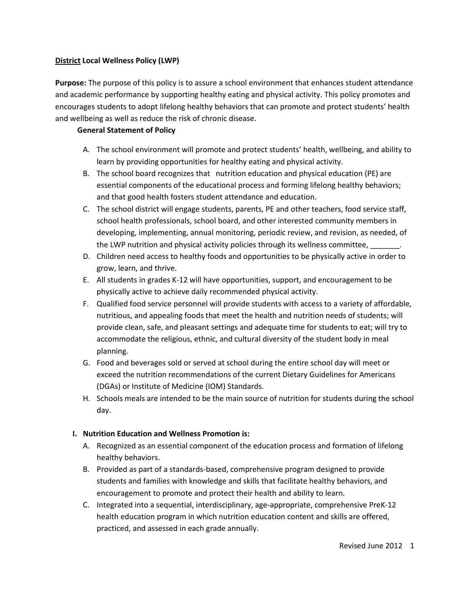### **District Local Wellness Policy (LWP)**

**Purpose:** The purpose of this policy is to assure a school environment that enhances student attendance and academic performance by supporting healthy eating and physical activity. This policy promotes and encourages students to adopt lifelong healthy behaviors that can promote and protect students' health and wellbeing as well as reduce the risk of chronic disease.

#### **General Statement of Policy**

- A. The school environment will promote and protect students' health, wellbeing, and ability to learn by providing opportunities for healthy eating and physical activity.
- B. The school board recognizes that nutrition education and physical education (PE) are essential components of the educational process and forming lifelong healthy behaviors; and that good health fosters student attendance and education.
- C. The school district will engage students, parents, PE and other teachers, food service staff, school health professionals, school board, and other interested community members in developing, implementing, annual monitoring, periodic review, and revision, as needed, of the LWP nutrition and physical activity policies through its wellness committee,
- D. Children need access to healthy foods and opportunities to be physically active in order to grow, learn, and thrive.
- E. All students in grades K-12 will have opportunities, support, and encouragement to be physically active to achieve daily recommended physical activity.
- F. Qualified food service personnel will provide students with access to a variety of affordable, nutritious, and appealing foods that meet the health and nutrition needs of students; will provide clean, safe, and pleasant settings and adequate time for students to eat; will try to accommodate the religious, ethnic, and cultural diversity of the student body in meal planning.
- G. Food and beverages sold or served at school during the entire school day will meet or exceed the nutrition recommendations of the current Dietary Guidelines for Americans (DGAs) or Institute of Medicine (IOM) Standards.
- H. Schools meals are intended to be the main source of nutrition for students during the school day.

### **I. Nutrition Education and Wellness Promotion is:**

- A. Recognized as an essential component of the education process and formation of lifelong healthy behaviors.
- B. Provided as part of a standards-based, comprehensive program designed to provide students and families with knowledge and skills that facilitate healthy behaviors, and encouragement to promote and protect their health and ability to learn.
- C. Integrated into a sequential, interdisciplinary, age-appropriate, comprehensive PreK-12 health education program in which nutrition education content and skills are offered, practiced, and assessed in each grade annually.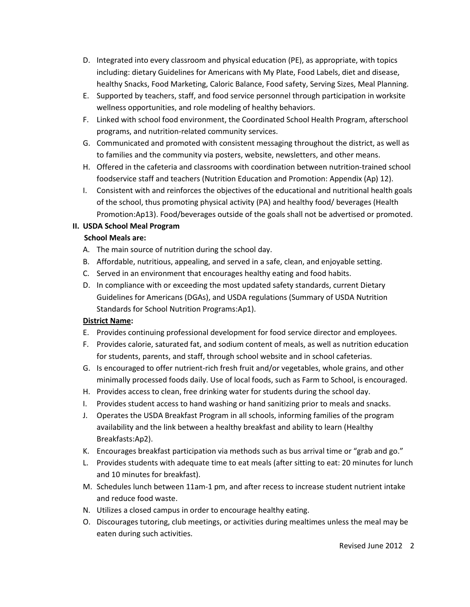- D. Integrated into every classroom and physical education (PE), as appropriate, with topics including: dietary Guidelines for Americans with My Plate, Food Labels, diet and disease, healthy Snacks, Food Marketing, Caloric Balance, Food safety, Serving Sizes, Meal Planning.
- E. Supported by teachers, staff, and food service personnel through participation in worksite wellness opportunities, and role modeling of healthy behaviors.
- F. Linked with school food environment, the Coordinated School Health Program, afterschool programs, and nutrition-related community services.
- G. Communicated and promoted with consistent messaging throughout the district, as well as to families and the community via posters, website, newsletters, and other means.
- H. Offered in the cafeteria and classrooms with coordination between nutrition-trained school foodservice staff and teachers (Nutrition Education and Promotion: Appendix (Ap) 12).
- I. Consistent with and reinforces the objectives of the educational and nutritional health goals of the school, thus promoting physical activity (PA) and healthy food/ beverages (Health Promotion:Ap13). Food/beverages outside of the goals shall not be advertised or promoted.

## **II. USDA School Meal Program**

## **School Meals are:**

- A. The main source of nutrition during the school day.
- B. Affordable, nutritious, appealing, and served in a safe, clean, and enjoyable setting.
- C. Served in an environment that encourages healthy eating and food habits.
- D. In compliance with or exceeding the most updated safety standards, current Dietary Guidelines for Americans (DGAs), and USDA regulations (Summary of USDA Nutrition Standards for School Nutrition Programs:Ap1).

# **District Name:**

- E. Provides continuing professional development for food service director and employees.
- F. Provides calorie, saturated fat, and sodium content of meals, as well as nutrition education for students, parents, and staff, through school website and in school cafeterias.
- G. Is encouraged to offer nutrient-rich fresh fruit and/or vegetables, whole grains, and other minimally processed foods daily. Use of local foods, such as Farm to School, is encouraged.
- H. Provides access to clean, free drinking water for students during the school day.
- I. Provides student access to hand washing or hand sanitizing prior to meals and snacks.
- J. Operates the USDA Breakfast Program in all schools, informing families of the program availability and the link between a healthy breakfast and ability to learn (Healthy Breakfasts:Ap2).
- K. Encourages breakfast participation via methods such as bus arrival time or "grab and go."
- L. Provides students with adequate time to eat meals (after sitting to eat: 20 minutes for lunch and 10 minutes for breakfast).
- M. Schedules lunch between 11am-1 pm, and after recess to increase student nutrient intake and reduce food waste.
- N. Utilizes a closed campus in order to encourage healthy eating.
- O. Discourages tutoring, club meetings, or activities during mealtimes unless the meal may be eaten during such activities.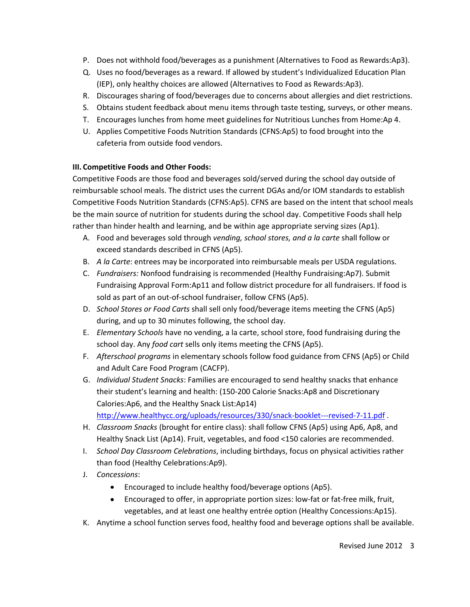- P. Does not withhold food/beverages as a punishment (Alternatives to Food as Rewards:Ap3).
- Q. Uses no food/beverages as a reward. If allowed by student's Individualized Education Plan (IEP), only healthy choices are allowed (Alternatives to Food as Rewards:Ap3).
- R. Discourages sharing of food/beverages due to concerns about allergies and diet restrictions.
- S. Obtains student feedback about menu items through taste testing, surveys, or other means.
- T. Encourages lunches from home meet guidelines for Nutritious Lunches from Home:Ap 4.
- U. Applies Competitive Foods Nutrition Standards (CFNS:Ap5) to food brought into the cafeteria from outside food vendors.

## **III. Competitive Foods and Other Foods:**

Competitive Foods are those food and beverages sold/served during the school day outside of reimbursable school meals. The district uses the current DGAs and/or IOM standards to establish Competitive Foods Nutrition Standards (CFNS:Ap5). CFNS are based on the intent that school meals be the main source of nutrition for students during the school day. Competitive Foods shall help rather than hinder health and learning, and be within age appropriate serving sizes (Ap1).

- A. Food and beverages sold through *vending, school stores, and a la carte* shall follow or exceed standards described in CFNS (Ap5).
- B. *A la Carte*: entrees may be incorporated into reimbursable meals per USDA regulations.
- C. *Fundraisers:* Nonfood fundraising is recommended (Healthy Fundraising:Ap7). Submit Fundraising Approval Form:Ap11 and follow district procedure for all fundraisers. If food is sold as part of an out-of-school fundraiser, follow CFNS (Ap5).
- D. *School Stores or Food Carts* shall sell only food/beverage items meeting the CFNS (Ap5) during, and up to 30 minutes following, the school day.
- E. *Elementary Schools* have no vending, a la carte, school store, food fundraising during the school day. Any *food cart* sells only items meeting the CFNS (Ap5).
- F. *Afterschool programs* in elementary schools follow food guidance from CFNS (Ap5) or Child and Adult Care Food Program (CACFP).
- G. *Individual Student Snacks*: Families are encouraged to send healthy snacks that enhance their student's learning and health: (150-200 Calorie Snacks:Ap8 and Discretionary Calories:Ap6, and the Healthy Snack List:Ap14)

<http://www.healthycc.org/uploads/resources/330/snack-booklet---revised-7-11.pdf> .

- H. *Classroom Snacks* (brought for entire class): shall follow CFNS (Ap5) using Ap6, Ap8, and Healthy Snack List (Ap14). Fruit, vegetables, and food <150 calories are recommended.
- I. *School Day Classroom Celebrations*, including birthdays, focus on physical activities rather than food (Healthy Celebrations:Ap9).
- J. *Concessions*:
	- Encouraged to include healthy food/beverage options (Ap5).
	- Encouraged to offer, in appropriate portion sizes: low-fat or fat-free milk, fruit,  $\bullet$ vegetables, and at least one healthy entrée option (Healthy Concessions:Ap15).
- K. Anytime a school function serves food, healthy food and beverage options shall be available.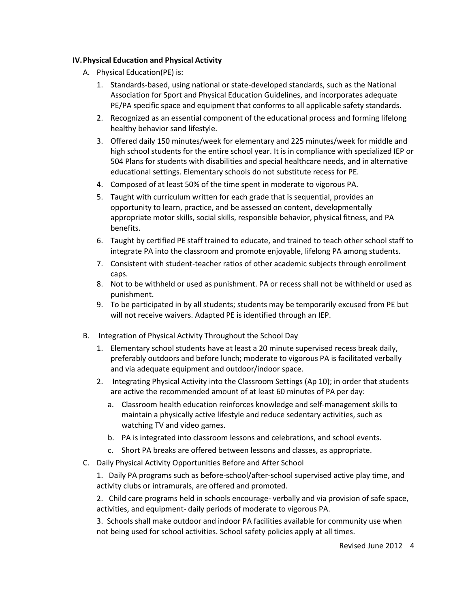#### **IV.Physical Education and Physical Activity**

- A. Physical Education(PE) is:
	- 1. Standards-based, using national or state-developed standards, such as the National Association for Sport and Physical Education Guidelines, and incorporates adequate PE/PA specific space and equipment that conforms to all applicable safety standards.
	- 2. Recognized as an essential component of the educational process and forming lifelong healthy behavior sand lifestyle.
	- 3. Offered daily 150 minutes/week for elementary and 225 minutes/week for middle and high school students for the entire school year. It is in compliance with specialized IEP or 504 Plans for students with disabilities and special healthcare needs, and in alternative educational settings. Elementary schools do not substitute recess for PE.
	- 4. Composed of at least 50% of the time spent in moderate to vigorous PA.
	- 5. Taught with curriculum written for each grade that is sequential, provides an opportunity to learn, practice, and be assessed on content, developmentally appropriate motor skills, social skills, responsible behavior, physical fitness, and PA benefits.
	- 6. Taught by certified PE staff trained to educate, and trained to teach other school staff to integrate PA into the classroom and promote enjoyable, lifelong PA among students.
	- 7. Consistent with student-teacher ratios of other academic subjects through enrollment caps.
	- 8. Not to be withheld or used as punishment. PA or recess shall not be withheld or used as punishment.
	- 9. To be participated in by all students; students may be temporarily excused from PE but will not receive waivers. Adapted PE is identified through an IEP.
- B. Integration of Physical Activity Throughout the School Day
	- 1. Elementary school students have at least a 20 minute supervised recess break daily, preferably outdoors and before lunch; moderate to vigorous PA is facilitated verbally and via adequate equipment and outdoor/indoor space.
	- 2. Integrating Physical Activity into the Classroom Settings (Ap 10); in order that students are active the recommended amount of at least 60 minutes of PA per day:
		- a. Classroom health education reinforces knowledge and self-management skills to maintain a physically active lifestyle and reduce sedentary activities, such as watching TV and video games.
		- b. PA is integrated into classroom lessons and celebrations, and school events.
		- c. Short PA breaks are offered between lessons and classes, as appropriate.
- C. Daily Physical Activity Opportunities Before and After School

1. Daily PA programs such as before-school/after-school supervised active play time, and activity clubs or intramurals, are offered and promoted.

2. Child care programs held in schools encourage- verbally and via provision of safe space, activities, and equipment- daily periods of moderate to vigorous PA.

3. Schools shall make outdoor and indoor PA facilities available for community use when not being used for school activities. School safety policies apply at all times.